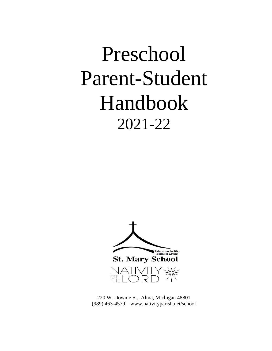# Preschool Parent-Student Handbook 2021-22



220 W. Downie St., Alma, Michigan 48801 (989) 463-4579 www.nativityparish.net/school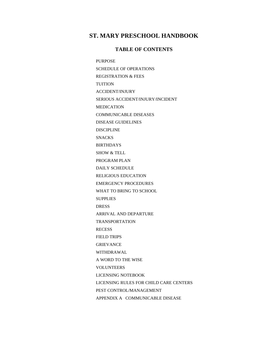### **ST. MARY PRESCHOOL HANDBOOK**

### **TABLE OF CONTENTS**

PURPOSE SCHEDULE OF OPERATIONS REGISTRATION & FEES TUITION ACCIDENT/INJURY SERIOUS ACCIDENT/INJURY/INCIDENT MEDICATION COMMUNICABLE DISEASES DISEASE GUIDELINES DISCIPLINE **SNACKS** BIRTHDAYS SHOW & TELL PROGRAM PLAN DAILY SCHEDULE RELIGIOUS EDUCATION EMERGENCY PROCEDURES WHAT TO BRING TO SCHOOL **SUPPLIES** DRESS ARRIVAL AND DEPARTURE TRANSPORTATION **RECESS** FIELD TRIPS GRIEVANCE WITHDRAWAL A WORD TO THE WISE VOLUNTEERS LICENSING NOTEBOOK LICENSING RULES FOR CHILD CARE CENTERS PEST CONTROL/MANAGEMENT APPENDIX A COMMUNICABLE DISEASE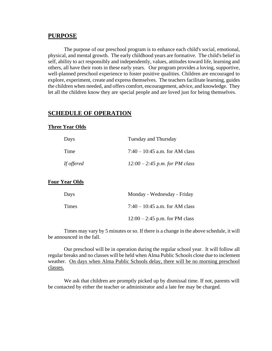#### **PURPOSE**

The purpose of our preschool program is to enhance each child's social, emotional, physical, and mental growth. The early childhood years are formative. The child's belief in self, ability to act responsibly and independently, values, attitudes toward life, learning and others, all have their roots in these early years. Our program provides a loving, supportive, well-planned preschool experience to foster positive qualities. Children are encouraged to explore, experiment, create and express themselves. The teachers facilitate learning, guides the children when needed, and offers comfort, encouragement, advice, and knowledge. They let all the children know they are special people and are loved just for being themselves.

# **SCHEDULE OF OPERATION**

#### **Three Year Olds**

| Days              | Tuesday and Thursday             |  |
|-------------------|----------------------------------|--|
| Time              | 7:40 – 10:45 a.m. for AM class   |  |
| <i>If offered</i> | $12:00 - 2:45$ p.m. for PM class |  |

#### **Four Year Olds**

| Days  | Monday - Wednesday - Friday      |
|-------|----------------------------------|
| Times | 7:40 – 10:45 a.m. for AM class   |
|       | $12:00 - 2:45$ p.m. for PM class |

Times may vary by 5 minutes or so. If there is a change in the above schedule, it will be announced in the fall.

Our preschool will be in operation during the regular school year. It will follow all regular breaks and no classes will be held when Alma Public Schools close due to inclement weather. On days when Alma Public Schools delay, there will be no morning preschool classes.

We ask that children are promptly picked up by dismissal time. If not, parents will be contacted by either the teacher or administrator and a late fee may be charged.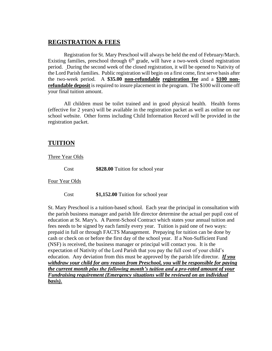### **REGISTRATION & FEES**

Registration for St. Mary Preschool will always be held the end of February/March. Existing families, preschool through  $6<sup>th</sup>$  grade, will have a two-week closed registration period. During the second week of the closed registration, it will be opened to Nativity of the Lord Parish families. Public registration will begin on a first come, first serve basis after the two-week period. A **\$35.00 non-refundable registration fee** and a **\$100 nonrefundable deposit** is required to insure placement in the program. The \$100 will come off your final tuition amount.

All children must be toilet trained and in good physical health. Health forms (effective for 2 years) will be available in the registration packet as well as online on our school website. Other forms including Child Information Record will be provided in the registration packet.

## **TUITION**

Three Year Olds

Cost **\$828.00** Tuition for school year

Four Year Olds

Cost **\$1,152.00** Tuition for school year

St. Mary Preschool is a tuition-based school. Each year the principal in consultation with the parish business manager and parish life director determine the actual per pupil cost of education at St. Mary's. A Parent-School Contract which states your annual tuition and fees needs to be signed by each family every year. Tuition is paid one of two ways: prepaid in full or through FACTS Management. Prepaying for tuition can be done by cash or check on or before the first day of the school year. If a Non-Sufficient Fund (NSF) is received, the business manager or principal will contact you. It is the expectation of Nativity of the Lord Parish that you pay the full cost of your child's education. Any deviation from this must be approved by the parish life director. *If you withdraw your child for any reason from Preschool, you will be responsible for paying the current month plus the following month's tuition and a pro-rated amount of your Fundraising requirement (Emergency situations will be reviewed on an individual basis).*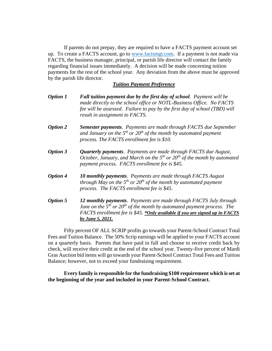If parents do not prepay, they are required to have a FACTS payment account set up. To create a FACTS account, go to [www.factsmgt.com.](http://www.factsmgt.com/) If a payment is not made via FACTS, the business manager, principal, or parish life director will contact the family regarding financial issues immediately. A decision will be made concerning tuition payments for the rest of the school year. Any deviation from the above must be approved by the parish life director.

#### *Tuition Payment Preference*

- *Option 1 Full tuition payment due by the first day of school. Payment will be made directly to the school office or NOTL-Business Office. No FACTS fee will be assessed. Failure to pay by the first day of school (TBD) will result in assignment to FACTS.*
- *Option 2 Semester payments. Payments are made through FACTS due September and January on the 5th or 20th of the month by automated payment process. The FACTS enrollment fee is \$10.*
- *Option 3 Quarterly payments. Payments are made through FACTS due August, October, January, and March on the 5th or 20th of the month by automated payment process. FACTS enrollment fee is \$45.*
- *Option 4 10 monthly payments. Payments are made through FACTS August through May on the 5th or 20th of the month by automated payment process. The FACTS enrollment fee is \$45.*
- *Option 5 12 monthly payments. Payments are made through FACTS July through June on the 5 th or 20th of the month by automated payment process. The FACTS enrollment fee is \$45. \*Only available if you are signed up in FACTS by June 5, 2021.*

Fifty percent OF ALL SCRIP profits go towards your Parent-School Contract Total Fees and Tuition Balance. The 50% Scrip earnings will be applied to your FACTS account on a quarterly basis. Parents that have paid in full and choose to receive credit back by check, will receive their credit at the end of the school year. Twenty-five percent of Mardi Gras Auction bid items will go towards your Parent-School Contract Total Fees and Tuition Balance; however, not to exceed your fundraising requirement.

**Every family is responsible for the fundraising \$100 requirement which isset at the beginning of the year and included in your Parent-School Contract.**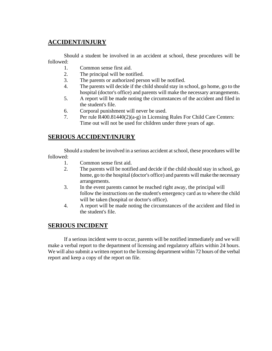# **ACCIDENT/INJURY**

Should a student be involved in an accident at school, these procedures will be followed:

- 1. Common sense first aid.
- 2. The principal will be notified.
- 3. The parents or authorized person will be notified.
- 4. The parents will decide if the child should stay in school, go home, go to the hospital (doctor's office) and parents will make the necessary arrangements.
- 5. A report will be made noting the circumstances of the accident and filed in the student's file.
- 6. Corporal punishment will never be used.
- 7. Per rule R400.81440(2)(a-g) in Licensing Rules For Child Care Centers: Time out will not be used for children under three years of age.

# **SERIOUS ACCIDENT/INJURY**

Should a student be involved in a serious accident at school, these procedures will be followed:

- 1. Common sense first aid.
- 2. The parents will be notified and decide if the child should stay in school, go home, go to the hospital (doctor's office) and parents will make the necessary arrangements.
- 3. In the event parents cannot be reached right away, the principal will follow the instructions on the student's emergency card as to where the child will be taken (hospital or doctor's office).
- 4. A report will be made noting the circumstances of the accident and filed in the student's file.

# **SERIOUS INCIDENT**

If a serious incident were to occur, parents will be notified immediately and we will make a verbal report to the department of licensing and regulatory affairs within 24 hours. We will also submit a written report to the licensing department within 72 hours of the verbal report and keep a copy of the report on file.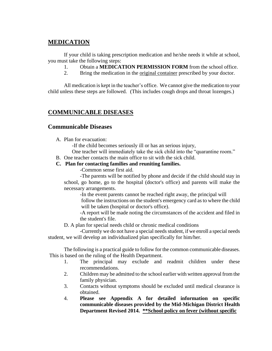# **MEDICATION**

If your child is taking prescription medication and he/she needs it while at school, you must take the following steps:

- 1. Obtain a **MEDICATION PERMISSION FORM** from the school office.
- 2. Bring the medication in the original container prescribed by your doctor.

All medication is kept in the teacher's office. We cannot give the medication to your child unless these steps are followed. (This includes cough drops and throat lozenges.)

## **COMMUNICABLE DISEASES**

### **Communicable Diseases**

A. Plan for evacuation:

-If the child becomes seriously ill or has an serious injury,

One teacher will immediately take the sick child into the "quarantine room."

B. One teacher contacts the main office to sit with the sick child.

### **C. Plan for contacting families and reuniting families.**

-Common sense first aid.

-The parents will be notified by phone and decide if the child should stay in school, go home, go to the hospital (doctor's office) and parents will make the necessary arrangements.

-In the event parents cannot be reached right away, the principal will follow the instructions on the student's emergency card as to where the child will be taken (hospital or doctor's office).

-A report will be made noting the circumstances of the accident and filed in the student's file.

D. A plan for special needs child or chronic medical conditions

-Currently we do not have a special needs student, if we enroll a special needs student, we will develop an individualized plan specifically for him/her.

The following is a practical guide to follow for the common communicable diseases. This is based on the ruling of the Health Department.

- 1. The principal may exclude and readmit children under these recommendations.
- 2. Children may be admitted to the school earlier with written approval from the family physician.
- 3. Contacts without symptoms should be excluded until medical clearance is obtained.
- 4. **Please see Appendix A for detailed information on specific communicable diseases provided by the Mid-Michigan District Health Department Revised 2014. \*\*School policy on fever (without specific**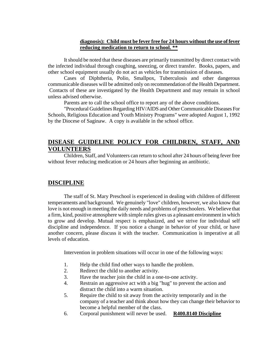### **diagnosis): Child must be fever free for 24 hours without the use of fever reducing medication to return to school. \*\***

It should be noted that these diseases are primarily transmitted by direct contact with the infected individual through coughing, sneezing, or direct transfer. Books, papers, and other school equipment usually do not act as vehicles for transmission of diseases.

Cases of Diphtheria, Polio, Smallpox, Tuberculosis and other dangerous communicable diseases will be admitted only on recommendation of the Health Department. Contacts of these are investigated by the Health Department and may remain in school unless advised otherwise.

Parents are to call the school office to report any of the above conditions.

"Procedural Guidelines Regarding HIV/AIDS and Other Communicable Diseases For Schools, Religious Education and Youth Ministry Programs" were adopted August 1, 1992 by the Diocese of Saginaw. A copy is available in the school office.

# **DISEASE GUIDELINE POLICY FOR CHILDREN, STAFF, AND VOLUNTEERS**

Children, Staff, and Volunteers can return to school after 24 hours of being fever free without fever reducing medication or 24 hours after beginning an antibiotic.

### **DISCIPLINE**

The staff of St. Mary Preschool is experienced in dealing with children of different temperaments and background. We genuinely "love" children, however, we also know that love is not enough in meeting the daily needs and problems of preschoolers. We believe that a firm, kind, positive atmosphere with simple rules gives us a pleasant environment in which to grow and develop. Mutual respect is emphasized, and we strive for individual self discipline and independence. If you notice a change in behavior of your child, or have another concern, please discuss it with the teacher. Communication is imperative at all levels of education.

Intervention in problem situations will occur in one of the following ways:

- 1. Help the child find other ways to handle the problem.
- 2. Redirect the child to another activity.
- 3. Have the teacher join the child in a one-to-one activity.
- 4. Restrain an aggressive act with a big "hug" to prevent the action and distract the child into a warm situation.
- 5. Require the child to sit away from the activity temporarily and in the company of a teacher and think about how they can change their behavior to become a helpful member of the class.
- 6. Corporal punishment will never be used. **R400.8140 Discipline**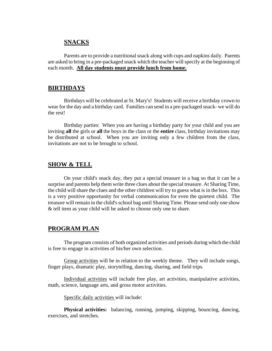### **SNACKS**

Parents are to provide a nutritional snack along with cups and napkins daily. Parents are asked to bring in a pre-packaged snack which the teacher will specify at the beginning of each month. **All day students must provide lunch from home.** 

### **BIRTHDAYS**

Birthdays will be celebrated at St. Mary's! Students will receive a birthday crown to wear for the day and a birthday card. Families can send in a pre-packaged snack- we will do the rest!

Birthday parties: When you are having a birthday party for your child and you are inviting **all** the girls or **all** the boys in the class or the **entire** class, birthday invitations may be distributed at school. When you are inviting only a few children from the class, invitations are not to be brought to school.

### **SHOW & TELL**

On your child's snack day, they put a special treasure in a bag so that it can be a surprise and parents help them write three clues about the special treasure. At Sharing Time, the child will share the clues and the other children will try to guess what is in the box. This is a very positive opportunity for verbal communication for even the quietest child. The treasure will remain in the child's school bag until Sharing Time. Please send only one show & tell item as your child will be asked to choose only one to share.

### **PROGRAM PLAN**

The program consists of both organized activities and periods during which the child is free to engage in activities of his/her own selection.

Group activities will be in relation to the weekly theme. They will include songs, finger plays, dramatic play, storytelling, dancing, sharing, and field trips.

Individual activities will include free play, art activities, manipulative activities, math, science, language arts, and gross motor activities.

Specific daily activities will include:

**Physical activities:** balancing, running, jumping, skipping, bouncing, dancing, exercises, and stretches.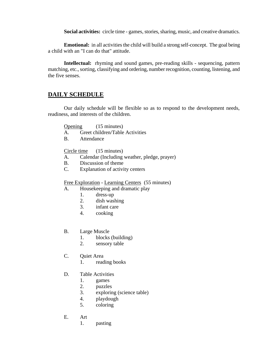**Social activities:** circle time - games, stories, sharing, music, and creative dramatics.

**Emotional:** in all activities the child will build a strong self-concept. The goal being a child with an "I can do that" attitude.

**Intellectual:** rhyming and sound games, pre-reading skills - sequencing, pattern matching, etc., sorting, classifying and ordering, number recognition, counting, listening, and the five senses.

# **DAILY SCHEDULE**

Our daily schedule will be flexible so as to respond to the development needs, readiness, and interests of the children.

Opening (15 minutes)

- A. Greet children/Table Activities
- B. Attendance

Circle time (15 minutes)

- A. Calendar (Including weather, pledge, prayer)
- B. Discussion of theme
- C. Explanation of activity centers

Free Exploration - Learning Centers (55 minutes)

- A. Housekeeping and dramatic play
	- 1. dress-up
	- 2. dish washing
	- 3. infant care
	- 4. cooking

### B. Large Muscle

- 1. blocks (building)
- 2. sensory table
- C. Quiet Area
	- 1. reading books
- D. Table Activities
	- 1. games
	- 2. puzzles
	- 3. exploring (science table)
	- 4. playdough
	- 5. coloring
- E. Art
	- 1. pasting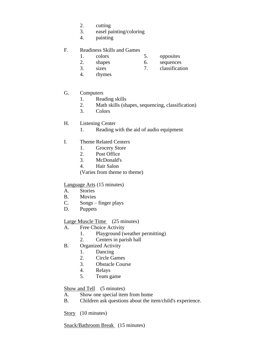- 2. cutting
- 3. easel painting/coloring
- 4. painting

### F. Readiness Skills and Games

- 1. colors 5. opposites
- 2. shapes 6. sequences
- 
- 3. sizes 7. classification
- 4. rhymes

### G. Computers

- 1. Reading skills
- 2. Math skills (shapes, sequencing, classification)
- 3. Colors

### H. Listening Center

- 1. Reading with the aid of audio equipment
- I. Theme Related Centers
	- 1. Grocery Store
	- 2. Post Office
	- 3. McDonald's
	- 4. Hair Salon

(Varies from theme to theme)

### Language Arts (15 minutes)

- A. Stories
- B. Movies
- C. Songs finger plays
- D. Puppets

### Large Muscle Time (25 minutes)

- A. Free Choice Activity
	- 1. Playground (weather permitting)
	- 2. Centers in parish hall
- B. Organized Activity
	- 1. Dancing
	- 2. Circle Games
	- 3. Obstacle Course
	- 4. Relays
	- 5. Team game

### Show and Tell (5 minutes)

- A. Show one special item from home
- B. Children ask questions about the item/child's experience.

Story (10 minutes)

Snack/Bathroom Break (15 minutes)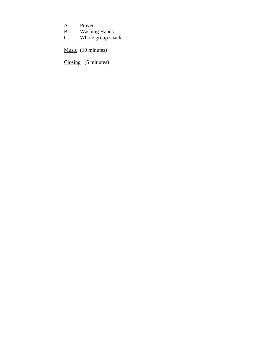- A. Prayer<br>B. Washin
- B. Washing Hands
- C. Whole group snack

Music (10 minutes)

Closing (5 minutes)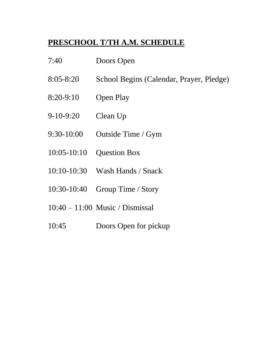# **PRESCHOOL T/TH A.M. SCHEDULE**

- 7:40 Doors Open
- 8:05-8:20 School Begins (Calendar, Prayer, Pledge)
- 8:20-9:10 Open Play
- 9-10-9:20 Clean Up
- 9:30-10:00 Outside Time / Gym
- 10:05-10:10 Question Box
- 10:10-10:30 Wash Hands / Snack
- 10:30-10:40 Group Time / Story
- 10:40 11:00 Music / Dismissal
- 10:45 Doors Open for pickup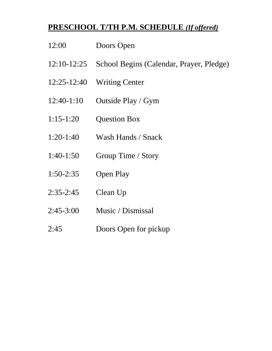# **PRESCHOOL T/TH P.M. SCHEDULE** *(If offered)*

- 12:00 Doors Open
- 12:10-12:25 School Begins (Calendar, Prayer, Pledge)
- 12:25-12:40 Writing Center
- 12:40-1:10 Outside Play / Gym
- 1:15-1:20 Question Box
- 1:20-1:40 Wash Hands / Snack
- 1:40-1:50 Group Time / Story
- 1:50-2:35 Open Play
- 2:35-2:45 Clean Up
- 2:45-3:00 Music / Dismissal
- 2:45 Doors Open for pickup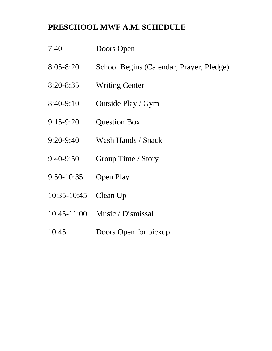# **PRESCHOOL MWF A.M. SCHEDULE**

- 7:40 Doors Open
- 8:05-8:20 School Begins (Calendar, Prayer, Pledge)
- 8:20-8:35 Writing Center
- 8:40-9:10 Outside Play / Gym
- 9:15-9:20 Question Box
- 9:20-9:40 Wash Hands / Snack
- 9:40-9:50 Group Time / Story
- 9:50-10:35 Open Play
- 10:35-10:45 Clean Up
- 10:45-11:00 Music / Dismissal
- 10:45 Doors Open for pickup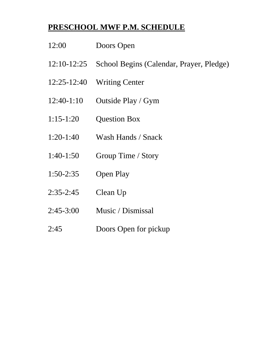# **PRESCHOOL MWF P.M. SCHEDULE**

- 12:00 Doors Open
- 12:10-12:25 School Begins (Calendar, Prayer, Pledge)
- 12:25-12:40 Writing Center
- 12:40-1:10 Outside Play / Gym
- 1:15-1:20 Question Box
- 1:20-1:40 Wash Hands / Snack
- 1:40-1:50 Group Time / Story
- 1:50-2:35 Open Play
- 2:35-2:45 Clean Up
- 2:45-3:00 Music / Dismissal
- 2:45 Doors Open for pickup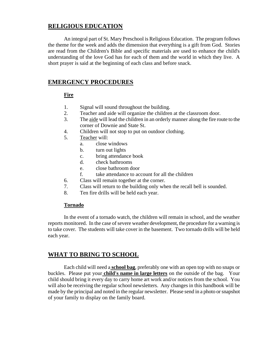# **RELIGIOUS EDUCATION**

An integral part of St. Mary Preschool is Religious Education. The program follows the theme for the week and adds the dimension that everything is a gift from God. Stories are read from the Children's Bible and specific materials are used to enhance the child's understanding of the love God has for each of them and the world in which they live. A short prayer is said at the beginning of each class and before snack.

# **EMERGENCY PROCEDURES**

### **Fire**

- 1. Signal will sound throughout the building.
- 2. Teacher and aide will organize the children at the classroom door.
- 3. The aide will lead the children in an orderly manner along the fire route to the corner of Downie and State St.
- 4. Children will not stop to put on outdoor clothing.
- 5. Teacher will:
	- a. close windows
	- b. turn out lights
	- c. bring attendance book
	- d. check bathrooms
	- e. close bathroom door
	- f. take attendance to account for all the children
- 6. Class will remain together at the corner.
- 7. Class will return to the building only when the recall bell is sounded.
- 8. Ten fire drills will be held each year.

### **Tornado**

In the event of a tornado watch, the children will remain in school, and the weather reports monitored. In the case of severe weather development, the procedure for a warning is to take cover. The students will take cover in the basement. Two tornado drills will be held each year.

# **WHAT TO BRING TO SCHOOL**

Each child will need a **school bag**, preferably one with an open top with no snaps or buckles. Please put your **child's name in large letters** on the outside of the bag. Your child should bring it every day to carry home art work and/or notices from the school. You will also be receiving the regular school newsletters. Any changes in this handbook will be made by the principal and noted in the regular newsletter. Please send in a photo orsnapshot of your family to display on the family board.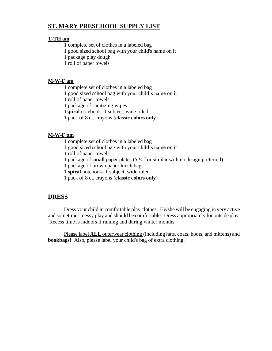# **ST. MARY PRESCHOOL SUPPLY LIST**

### **T-TH am**

1 complete set of clothes in a labeled bag

1 good sized school bag with your child's name on it

1 package play dough

1 roll of paper towels

### **M-W-F am**

1 complete set of clothes in a labeled bag

1 good sized school bag with your child's name on it

1 roll of paper towels

1 package of sanitizing wipes

1**spiral** notebook- 1 subject, wide ruled

1 pack of 8 ct. crayons (**classic colors only**)

### **M-W-F pm**

1 complete set of clothes in a labeled bag

1 good sized school bag with your child's name on it

1 roll of paper towels

1 package of **small** paper plates (5 ¼ ˝ or similar with no design preferred)

1 package of brown paper lunch bags

1 **spiral** notebook- 1 subject, wide ruled

1 pack of 8 ct. crayons (**classic colors only**)

# **DRESS**

Dress your child in comfortable play clothes. He/she will be engaging in very active and sometimes messy play and should be comfortable. Dress appropriately for outside play. Recess time is indoors if raining and during winter months.

Please label **ALL** outerwear clothing (including hats, coats, boots, and mittens) and **bookbags!** Also, please label your child's bag of extra clothing.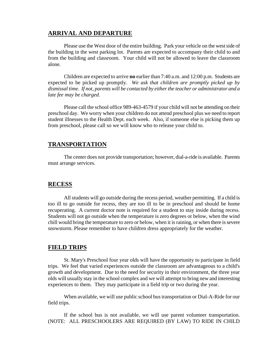### **ARRIVAL AND DEPARTURE**

Please use the West door of the entire building. Park your vehicle on the westside of the building in the west parking lot. Parents are expected to accompany their child to and from the building and classroom. Your child will not be allowed to leave the classroom alone.

Children are expected to arrive **no** earlier than 7:40 a.m. and 12:00 p.m. Students are expected to be picked up promptly. *We ask that children are promptly picked up by dismissal time. If not, parents will be contacted by either the teacher or administrator and a late fee may be charged.* 

Please call the school office 989-463-4579 if your child will not be attending on their preschool day. We worry when your children do not attend preschool plus we need to report student illnesses to the Health Dept. each week. Also, if someone else is picking them up from preschool, please call so we will know who to release your child to.

### **TRANSPORTATION**

The center does not provide transportation; however, dial-a-ride is available. Parents must arrange services.

### **RECESS**

All students will go outside during the recess period, weather permitting. If a child is too ill to go outside for recess, they are too ill to be in preschool and should be home recuperating. A current doctor note is required for a student to stay inside during recess. Students will not go outside when the temperature is zero degrees or below, when the wind chill would bring the temperature to zero or below, when it is raining, or when there is severe snowstorm. Please remember to have children dress appropriately for the weather.

### **FIELD TRIPS**

St. Mary's Preschool four year olds will have the opportunity to participate in field trips. We feel that varied experiences outside the classroom are advantageous to a child's growth and development. Due to the need for security in their environment, the three year olds will usually stay in the school complex and we will attempt to bring new and interesting experiences to them. They may participate in a field trip or two during the year.

When available, we will use public school bus transportation or Dial-A-Ride for our field trips.

If the school bus is not available, we will use parent volunteer transportation. (NOTE: ALL PRESCHOOLERS ARE REQUIRED (BY LAW) TO RIDE IN CHILD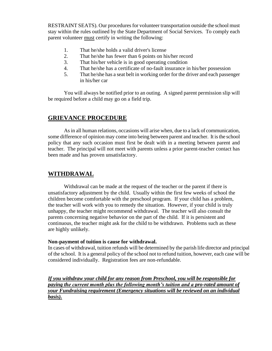RESTRAINT SEATS). Our procedures for volunteer transportation outside the school must stay within the rules outlined by the State Department of Social Services. To comply each parent volunteer must certify in writing the following:

- 1. That he/she holds a valid driver's license
- 2. That he/she has fewer than 6 points on his/her record
- 3. That his/her vehicle is in good operating condition
- 4. That he/she has a certificate of no-fault insurance in his/her possession
- 5. That he/she has a seat belt in working order for the driver and each passenger in his/her car

You will always be notified prior to an outing. A signed parent permission slip will be required before a child may go on a field trip.

## **GRIEVANCE PROCEDURE**

As in all human relations, occasions will arise when, due to a lack of communication, some difference of opinion may come into being between parent and teacher. It is the school policy that any such occasion must first be dealt with in a meeting between parent and teacher. The principal will not meet with parents unless a prior parent-teacher contact has been made and has proven unsatisfactory.

# **WITHDRAWAL**

Withdrawal can be made at the request of the teacher or the parent if there is unsatisfactory adjustment by the child. Usually within the first few weeks of school the children become comfortable with the preschool program. If your child has a problem, the teacher will work with you to remedy the situation. However, if your child is truly unhappy, the teacher might recommend withdrawal. The teacher will also consult the parents concerning negative behavior on the part of the child. If it is persistent and continuous, the teacher might ask for the child to be withdrawn. Problems such as these are highly unlikely.

### **Non-payment of tuition is cause for withdrawal.**

In cases of withdrawal, tuition refunds will be determined by the parish life director and principal of the school. It is a general policy of the school not to refund tuition, however, each case will be considered individually. Registration fees are non-refundable.

*If you withdraw your child for any reason from Preschool, you will be responsible for paying the current month plus the following month's tuition and a pro-rated amount of your Fundraising requirement (Emergency situations will be reviewed on an individual basis).*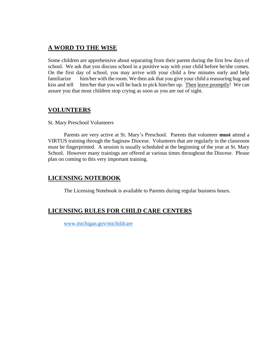# **A WORD TO THE WISE**

Some children are apprehensive about separating from their parent during the first few days of school. We ask that you discuss school in a positive way with your child before he/she comes. On the first day of school, you may arrive with your child a few minutes early and help familiarize him/her with the room. We then ask that you give your child a reassuring hug and kiss and tell him/her that you will be back to pick him/her up. Then leave promptly! We can assure you that most children stop crying as soon as you are out of sight.

## **VOLUNTEERS**

St. Mary Preschool Volunteers

Parents are very active at St. Mary's Preschool. Parents that volunteer **must** attend a VIRTUS training through the Saginaw Diocese. Volunteers that are regularly in the classroom must be fingerprinted. A session is usually scheduled at the beginning of the year at St. Mary School. However many trainings are offered at various times throughout the Diocese. Please plan on coming to this very important training.

# **LICENSING NOTEBOOK**

The Licensing Notebook is available to Parents during regular business hours.

# **LICENSING RULES FOR CHILD CARE CENTERS**

[www.michigan.gov/michildcare](http://www.michigan.gov/michildcare)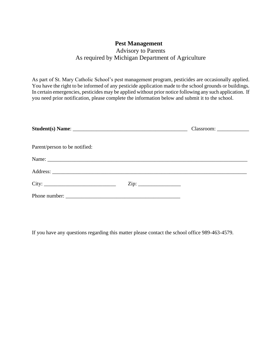# **Pest Management**

# Advisory to Parents As required by Michigan Department of Agriculture

As part of St. Mary Catholic School's pest management program, pesticides are occasionally applied. You have the right to be informed of any pesticide application made to the school grounds or buildings. In certain emergencies, pesticides may be applied without prior notice following any such application. If you need prior notification, please complete the information below and submit it to the school.

| Parent/person to be notified: |  |
|-------------------------------|--|
|                               |  |
|                               |  |
|                               |  |
|                               |  |

If you have any questions regarding this matter please contact the school office 989-463-4579.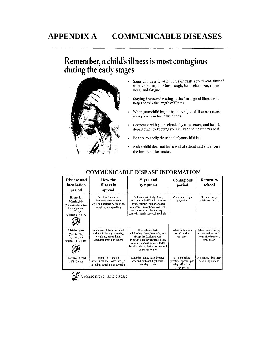# **APPENDIX A COMMUNICABLE DISEASES**

# Remember, a child's illness is most contagious<br>during the early stages



- Signs of illness to watch for: skin rash, sore throat, flushed skin, vomiting, diarrhea, cough, headache, fever, runny nose, and fatigue.
- Staying home and resting at the first sign of illness will help shorten the length of illness.
- When your child begins to show signs of illness, contact your physician for instructions.
- Cooperate with your school, day care center, and health department by keeping your child at home if they are ill.
- Be sure to notify the school if your child is ill.  $\ddot{\phantom{0}}$
- A sick child does not learn well at school and endangers  $\bullet$ the health of classmates.

| Disease and<br>incubation<br>period                                                                                | How the<br>illness is<br>spread                                                                                        | <b>Signs and</b><br>symptoms                                                                                                                                                                                                 | Contagious<br>period                                                          | Return to<br>school                                                                     |
|--------------------------------------------------------------------------------------------------------------------|------------------------------------------------------------------------------------------------------------------------|------------------------------------------------------------------------------------------------------------------------------------------------------------------------------------------------------------------------------|-------------------------------------------------------------------------------|-----------------------------------------------------------------------------------------|
| <b>Bacterial</b><br><b>Meningitis</b><br>(Meningococcal and<br>Haemophilus)<br>$1 - 10$ days<br>Average 2 - 4 days | Droplets from nose,<br>throat and mouth spread<br>virus and bacteria by sneezing,<br>coughing and speaking             | Sudden onset of high fever,<br>headache and stiff neck. In severe<br>cases, delirium, stupor or coma<br>can occur. Purplish spots on limbs<br>and muceus membranes may be<br>seen with meningococcal meningitis              | When cleared by a<br>physician                                                | Upon recovery,<br>minimum 7 days                                                        |
| Chickenpox<br>(Varicella)<br>10 - 21 days<br>Average 14 - 16 days                                                  | Secretions of the nose, throat<br>and mouth through sneezing,<br>coughing, or speaking.<br>Discharge from skin lesions | Slight discomfort,<br>mild to high fever, headache, loss<br>of appetite. Lesions appear<br>in bunches mostly on upper body.<br>Face and extremities less affected.<br>Teardrop shaped lesions surrounded<br>by reddened area | 5 days before rash<br>to 5 days after<br>rash starts                          | When lesions are dry<br>and crusted, at least 1<br>week after breakout<br>first appears |
| <b>Common Cold</b><br>$11/2 - 3$ days                                                                              | Secretions from the<br>nose, throat and mouth through<br>sneezing, coughing, or speaking                               | Coughing, runny nose, irritated<br>nose and/or throat, light chills,<br>rare slight fever                                                                                                                                    | 24 hours before<br>symptoms appear up to<br>5 days after onset<br>of symptoms | Minimum 3 days after<br>onset of symptoms                                               |

### **COMMUNICABLE DISEASE INFORMATION**



Vaccine preventable disease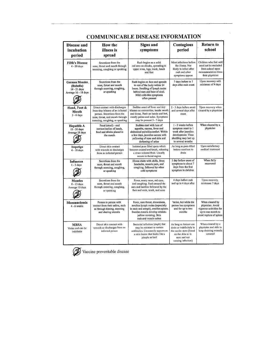| <b>Disease and</b><br>incubation<br>period                           | <b>How the</b><br>illness is<br>spread                                                                                                                                   | <b>Signs and</b><br>symptoms                                                                                                                                                                     | Contagious<br>period                                                                                                                      | <b>Return to</b><br>school                                                                                      |
|----------------------------------------------------------------------|--------------------------------------------------------------------------------------------------------------------------------------------------------------------------|--------------------------------------------------------------------------------------------------------------------------------------------------------------------------------------------------|-------------------------------------------------------------------------------------------------------------------------------------------|-----------------------------------------------------------------------------------------------------------------|
| <b>Fifth's Disease</b><br>4 - 20 days                                | Secretions from the<br>nose, throat and mouth through<br>sneezing, coughing or speaking                                                                                  | Rash begins as a solid<br>red area on checks, spreading to<br>upper arms, legs, trunk, hands<br>and feet                                                                                         | Most infectious before<br>the illness. Not<br>likely to infect after<br>rash and other<br>symptoms appear                                 | Children who feel well<br>need not be excluded<br>from school upon<br>recommendation from<br>their physician    |
| German Measles.<br>(Rubella)<br>14 - 21 days<br>Average 16 - 18 days | Secretions from the<br>nose, throat and mouth<br>through sneezing, coughing,<br>or speaking                                                                              | Rash begins on face and spreads<br>to rest of the body within 24<br>hours. Swelling of lymph nodes<br>behind ears and base of skull.<br>Mild cold-like symptoms<br>often present                 | 7 days before to 7<br>days after rash onset                                                                                               | Upon recovery with<br>minimum of 4 days                                                                         |
| Hand, Foot &<br>Mouth<br>$3 - 6$ days                                | Direct contact with discharges<br>from tiny blisters of an infected<br>person. Secretions from the<br>nose, throat, and mouth through<br>sneezing, coughing, or speaking | Sudden onset of fever and tiny<br>blisters on extremities, inside mouth<br>and throat. Rash on hands and feet,<br>mostly palms and soles. Symptoms<br>may be present 5 - 7 days                  | 2 - 3 days before onset<br>and several days after<br>onset                                                                                | Upon recovery when<br>cleared by a physician                                                                    |
| <b>Hepatitis A</b><br>15 - 50 days<br>Average 28 days                | Fecal (stool) - oral<br>contamination of hands,<br>food and drinks placed in<br>the mouth                                                                                | Sudden start with loss of<br>appetite, nausea, fever and<br>abdominal pain/discomfort. Within<br>a few days, jaundice occurs with<br>yellowing of eyes and skin and<br>darkening of urine        | 1 - 2 weeks before<br>symptom onset to 1<br>week after jaundice<br>development. Virus<br>shedding may last up<br>to several months        | When cleared by a<br>physician                                                                                  |
| Impetigo<br>4 - 10 days                                              | Direct skin contact<br>with wounds or discharges<br>from an infected person                                                                                              | Isolated puss filled spots which<br>become crusted and break, releasing<br>a straw colored fluid. Usually<br>occurs in facial region                                                             | As long as puss-filled<br>lesions continue to<br>drain                                                                                    | Upon satisfactory<br>medical treatment                                                                          |
| Influenza<br>$1 - 3$ days                                            | Secretions from the<br>nose, throat and mouth<br>through sneezing, coughing,<br>or speaking                                                                              | Illness starts with chills, fever,<br>headache, muscle pain, and<br>coughing, followed by other<br>cold symptoms                                                                                 | I day before onset of<br>symptoms to about 7<br>days from the first<br>symptom in children                                                | When fully<br>recovered                                                                                         |
| <b>Measles</b><br>8 - 13 days<br>Average 10 days                     | Secretions from the<br>nose, throat and mouth<br>through sneezing, coughing,<br>or speaking                                                                              | Fever, runny nose, red eyes,<br>and coughing. Rash around the<br>ears and hairline followed by the<br>face and neck, trunk, and arms                                                             | 4 days before rash<br>and up to 4 days after                                                                                              | Upon recovery,<br>minimum 7 days                                                                                |
| <b>Mononucleosis</b><br>$4 - 6$ weeks                                | Person to person with<br>contact from their saliva, such<br>as through kissing, sneezing<br>and sharing utensils                                                         | Fever, sore throat, drowsiness,<br>swollen lymph nodes (especially<br>in neck and armpit), swollen spleen.<br>Swollen tonsils develop whitish-<br>yellow covering. Skin<br>rash and muscle aches | Varies, but while the<br>person has symptoms<br>and for up to two<br>months                                                               | When cleared by<br>physician. Avoid<br>vigorous activities for<br>up to one month to<br>avoid rupture of spleen |
| <b>MRSA</b><br>Varies and can be<br>indefinite                       | Direct skin contact with<br>wounds or discharges from an<br>infected person                                                                                              | Bacterial infection (staph) that<br>may be resistant to certain<br>antibiotics. Commonly appears as<br>a skin lesion that looks like a<br>pimple or boil                                         | As long as lesions can<br>drain or indefinitely in<br>the carrier state (found<br>on the skin or in<br>nose and not<br>causing infection) | When cleared by a<br>physician and able to<br>keep draining wounds<br>covered                                   |

# **COMMUNICABLE DISEASE INFORMATION**



Vaccine preventable disease